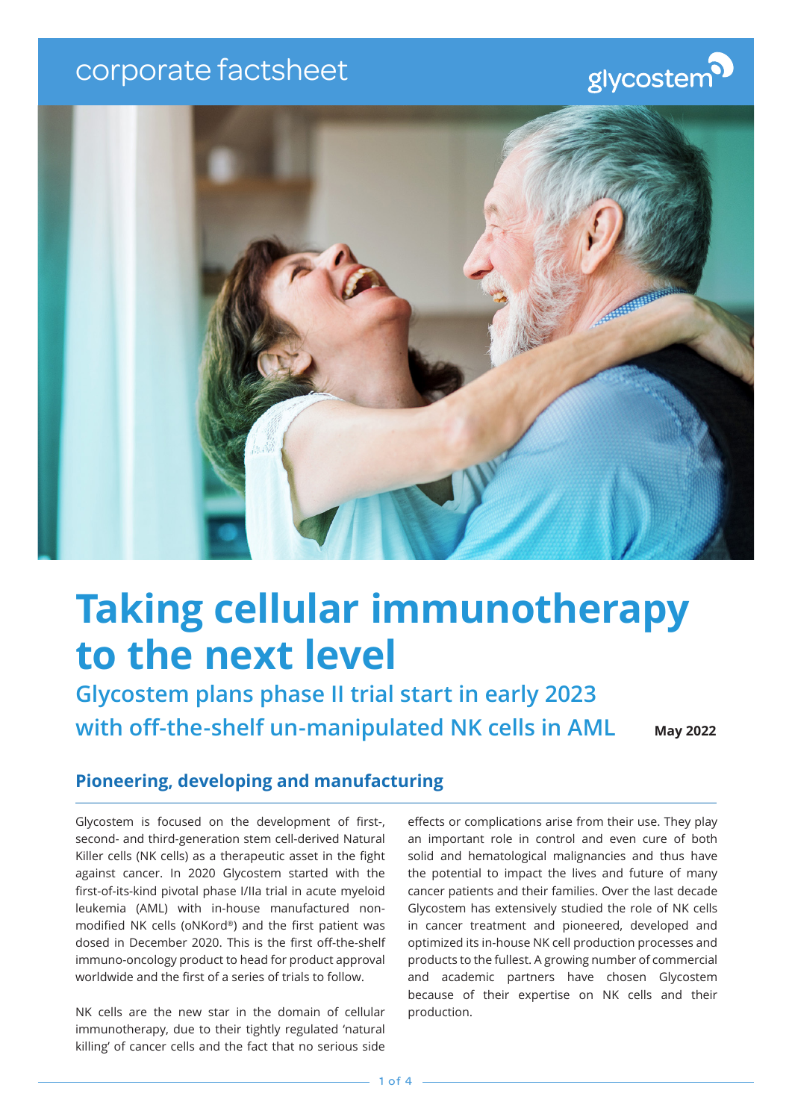# corporate factsheet

# glycostem



# **Taking cellular immunotherapy to the next level**

**Glycostem plans phase II trial start in early 2023 with off-the-shelf un-manipulated NK cells in AML**

**May 2022**

# **Pioneering, developing and manufacturing**

Glycostem is focused on the development of first-, second- and third-generation stem cell-derived Natural Killer cells (NK cells) as a therapeutic asset in the fight against cancer. In 2020 Glycostem started with the first-of-its-kind pivotal phase I/IIa trial in acute myeloid leukemia (AML) with in-house manufactured nonmodified NK cells (oNKord®) and the first patient was dosed in December 2020. This is the first off-the-shelf immuno-oncology product to head for product approval worldwide and the first of a series of trials to follow.

NK cells are the new star in the domain of cellular immunotherapy, due to their tightly regulated 'natural killing' of cancer cells and the fact that no serious side

effects or complications arise from their use. They play an important role in control and even cure of both solid and hematological malignancies and thus have the potential to impact the lives and future of many cancer patients and their families. Over the last decade Glycostem has extensively studied the role of NK cells in cancer treatment and pioneered, developed and optimized its in-house NK cell production processes and products to the fullest. A growing number of commercial and academic partners have chosen Glycostem because of their expertise on NK cells and their production.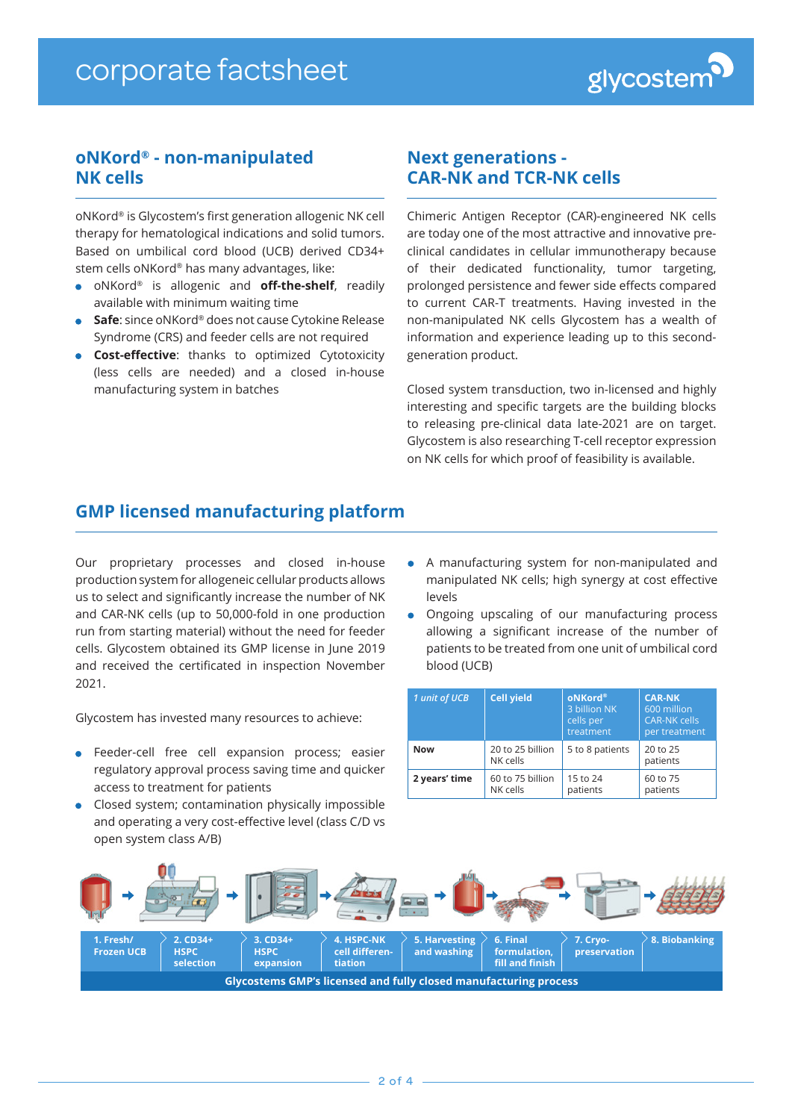

## **oNKord® - non-manipulated NK cells**

oNKord® is Glycostem's first generation allogenic NK cell therapy for hematological indications and solid tumors. Based on umbilical cord blood (UCB) derived CD34+ stem cells oNKord® has many advantages, like:

- oNKord® is allogenic and **off-the-shelf**, readily available with minimum waiting time
- **Safe**: since oNKord<sup>®</sup> does not cause Cytokine Release Syndrome (CRS) and feeder cells are not required
- **cost-effective**: thanks to optimized Cytotoxicity (less cells are needed) and a closed in-house manufacturing system in batches

### **Next generations - CAR-NK and TCR-NK cells**

Chimeric Antigen Receptor (CAR)-engineered NK cells are today one of the most attractive and innovative preclinical candidates in cellular immunotherapy because of their dedicated functionality, tumor targeting, prolonged persistence and fewer side effects compared to current CAR-T treatments. Having invested in the non-manipulated NK cells Glycostem has a wealth of information and experience leading up to this secondgeneration product.

Closed system transduction, two in-licensed and highly interesting and specific targets are the building blocks to releasing pre-clinical data late-2021 are on target. Glycostem is also researching T-cell receptor expression on NK cells for which proof of feasibility is available.

# **GMP licensed manufacturing platform**

Our proprietary processes and closed in-house production system for allogeneic cellular products allows us to select and significantly increase the number of NK and CAR-NK cells (up to 50,000-fold in one production run from starting material) without the need for feeder cells. Glycostem obtained its GMP license in June 2019 and received the certificated in inspection November 2021.

Glycostem has invested many resources to achieve:

- Feeder-cell free cell expansion process; easier regulatory approval process saving time and quicker access to treatment for patients
- Closed system; contamination physically impossible and operating a very cost-effective level (class C/D vs open system class A/B)
- A manufacturing system for non-manipulated and manipulated NK cells; high synergy at cost effective levels
- Ongoing upscaling of our manufacturing process allowing a significant increase of the number of patients to be treated from one unit of umbilical cord blood (UCB)

| 1 unit of UCB | <b>Cell yield</b>            | oNKord <sup>®</sup><br>3 billion NK<br>cells per<br>treatment | <b>CAR-NK</b><br>600 million<br><b>CAR-NK cells</b><br>per treatment |  |  |
|---------------|------------------------------|---------------------------------------------------------------|----------------------------------------------------------------------|--|--|
| <b>Now</b>    | 20 to 25 billion<br>NK cells | 5 to 8 patients                                               | 20 to 25<br>patients                                                 |  |  |
| 2 years' time | 60 to 75 billion<br>NK cells | 15 to 24<br>patients                                          | 60 to 75<br>patients                                                 |  |  |

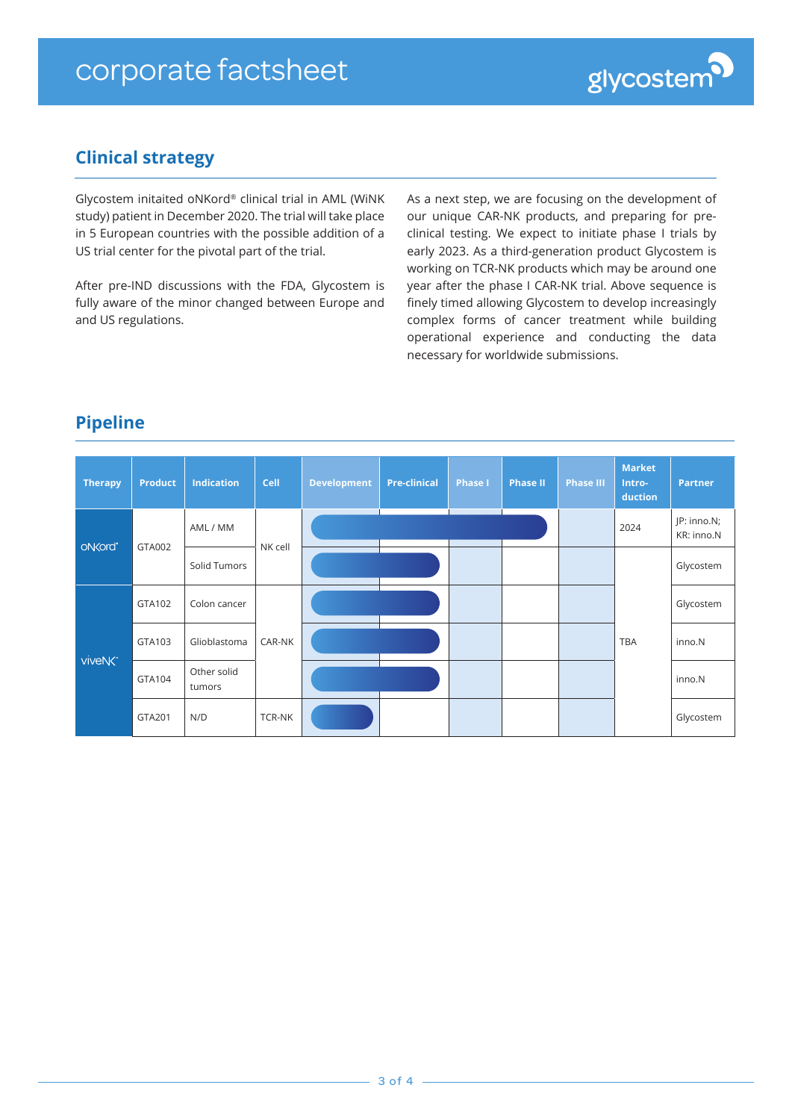

# **Clinical strategy**

Glycostem initaited oNKord® clinical trial in AML (WiNK study) patient in December 2020. The trial will take place in 5 European countries with the possible addition of a US trial center for the pivotal part of the trial.

After pre-IND discussions with the FDA, Glycostem is fully aware of the minor changed between Europe and and US regulations.

As a next step, we are focusing on the development of our unique CAR-NK products, and preparing for preclinical testing. We expect to initiate phase I trials by early 2023. As a third-generation product Glycostem is working on TCR-NK products which may be around one year after the phase I CAR-NK trial. Above sequence is finely timed allowing Glycostem to develop increasingly complex forms of cancer treatment while building operational experience and conducting the data necessary for worldwide submissions.

# **Pipeline**

| <b>Therapy</b>      | <b>Product</b> | <b>Indication</b>     | Cell    | <b>Development</b> | <b>Pre-clinical</b> | <b>Phase I</b> | <b>Phase II</b> | <b>Phase III</b> | <b>Market</b><br>Intro-<br>duction | <b>Partner</b>            |
|---------------------|----------------|-----------------------|---------|--------------------|---------------------|----------------|-----------------|------------------|------------------------------------|---------------------------|
| oN<br>cord          | GTA002         | AML / MM              | NK cell |                    |                     |                |                 |                  | 2024                               | JP: inno.N;<br>KR: inno.N |
|                     |                | Solid Tumors          |         |                    |                     |                |                 |                  |                                    | Glycostem                 |
| viveNK <sup>-</sup> | GTA102         | Colon cancer          | CAR-NK  |                    |                     |                |                 |                  | <b>TBA</b>                         | Glycostem                 |
|                     | GTA103         | Glioblastoma          |         |                    |                     |                |                 |                  |                                    | inno.N                    |
|                     | GTA104         | Other solid<br>tumors |         |                    |                     |                |                 |                  |                                    | inno.N                    |
|                     | GTA201         | N/D                   | TCR-NK  |                    |                     |                |                 |                  |                                    | Glycostem                 |